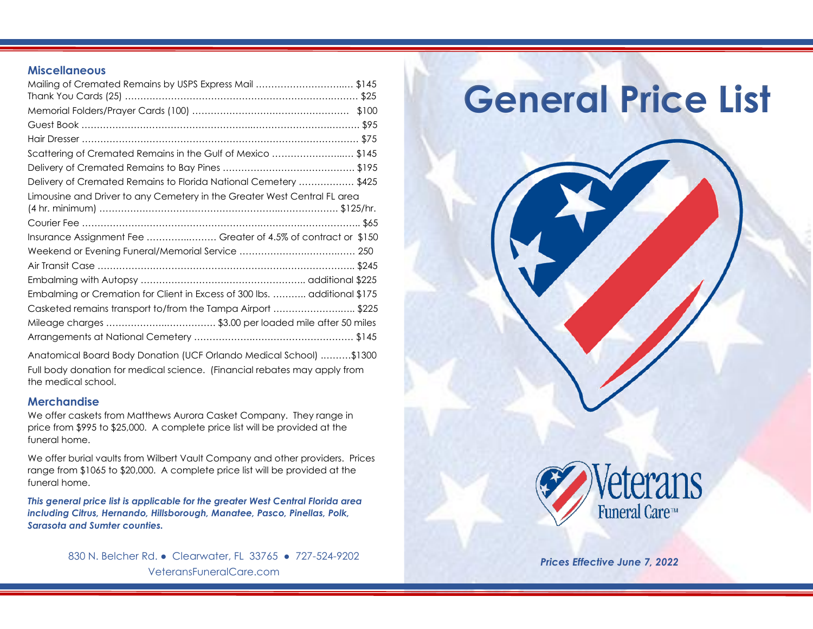### **Miscellaneous**

| Mailing of Cremated Remains by USPS Express Mail \$145                    |  |
|---------------------------------------------------------------------------|--|
|                                                                           |  |
|                                                                           |  |
|                                                                           |  |
| Scattering of Cremated Remains in the Gulf of Mexico \$145                |  |
|                                                                           |  |
| Delivery of Cremated Remains to Florida National Cemetery  \$425          |  |
| Limousine and Driver to any Cemetery in the Greater West Central FL area  |  |
| Insurance Assignment Fee  Greater of 4.5% of contract or \$150            |  |
|                                                                           |  |
|                                                                           |  |
|                                                                           |  |
| Embalming or Cremation for Client in Excess of 300 lbs.  additional \$175 |  |
| Casketed remains transport to/from the Tampa Airport \$225                |  |
| Mileage charges  \$3.00 per loaded mile after 50 miles                    |  |
|                                                                           |  |
|                                                                           |  |

Anatomical Board Body Donation (UCF Orlando Medical School) .………\$1300 Full body donation for medical science. (Financial rebates may apply from the medical school.

## **Merchandise**

We offer caskets from Matthews Aurora Casket Company. They range in price from \$995 to \$25,000. A complete price list will be provided at the funeral home.

We offer burial vaults from Wilbert Vault Company and other providers. Prices range from \$1065 to \$20,000. A complete price list will be provided at the funeral home.

*This general price list is applicable for the greater West Central Florida area including Citrus, Hernando, Hillsborough, Manatee, Pasco, Pinellas, Polk, Sarasota and Sumter counties.*

> 830 N. Belcher Rd. • Clearwater, FL 33765 • 727-524-9202 VeteransFuneralCare.com

# **General Price List**



*Prices Effective June 7, 2022*